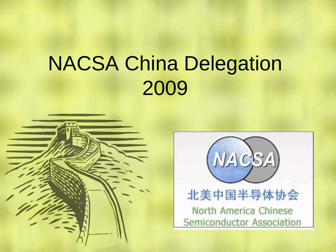# NACSA China Delegation 2009





北美中国半导体协会 North America Chinese **Semiconductor Association**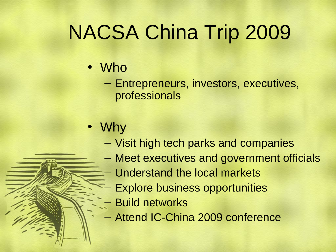# NACSA China Trip 2009

• Who

– Entrepreneurs, investors, executives, professionals

- Why
	- Visit high tech parks and companies
	- Meet executives and government officials
	- Understand the local markets
	- Explore business opportunities
	- Build networks
	- Attend IC-China 2009 conference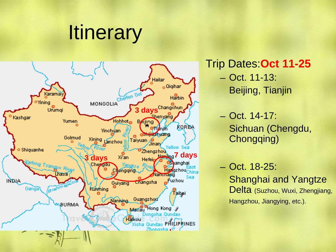## **Itinerary**



Trip Dates:**Oct 11-25** – Oct. 11-13: Beijing, Tianjin

- Oct. 14-17: Sichuan (Chengdu, Chongqing)
- Oct. 18-25: Shanghai and Yangtze Delta (Suzhou, Wuxi, Zhengjiang, Hangzhou, Jiangying, etc.).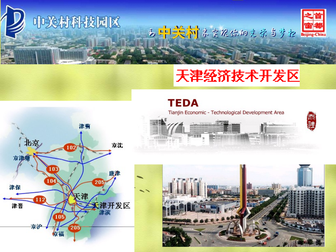

### 天津经济技术开发区



中美村科技园区

#### **TEDA**

Tianjin Economic - Technological Development Area



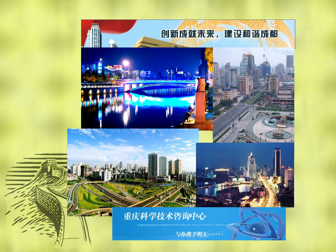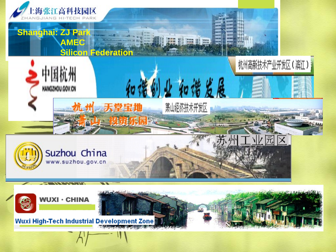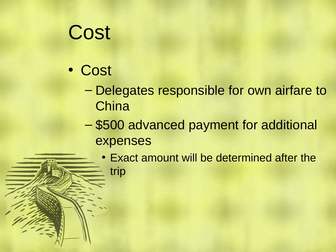### **Cost**

- Cost
	- Delegates responsible for own airfare to **China**
	- \$500 advanced payment for additional expenses
		- Exact amount will be determined after the trip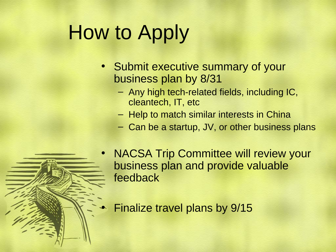# How to Apply

- Submit executive summary of your business plan by 8/31
	- Any high tech-related fields, including IC, cleantech, IT, etc
	- Help to match similar interests in China
	- Can be a startup, JV, or other business plans



- NACSA Trip Committee will review your business plan and provide valuable feedback
- Finalize travel plans by 9/15